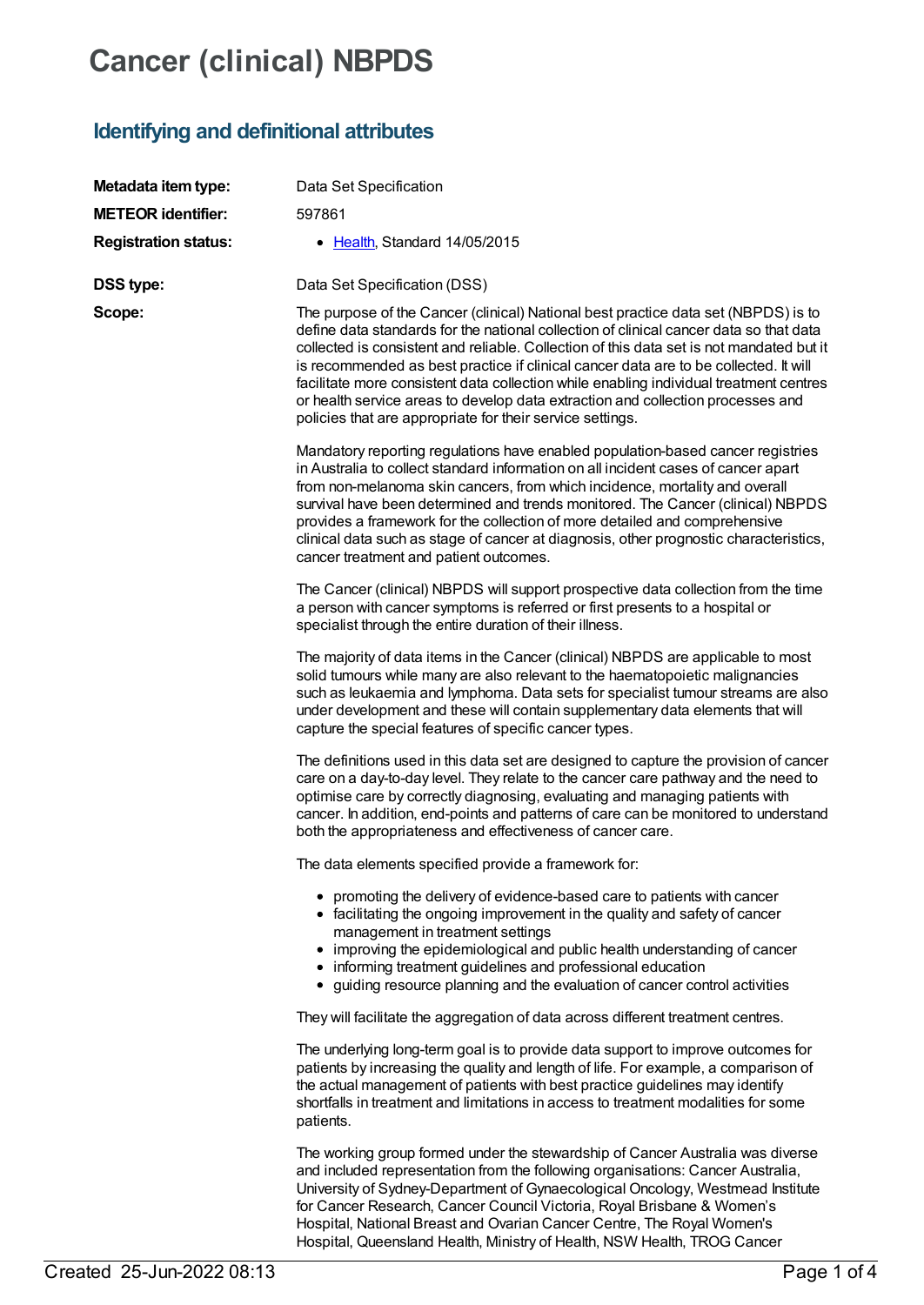# **Cancer (clinical) NBPDS**

# **Identifying and definitional attributes**

| Metadata item type:         | Data Set Specification                                                                                                                                                                                                                                                                                                                                                                                                                                                                                                                                                                                     |
|-----------------------------|------------------------------------------------------------------------------------------------------------------------------------------------------------------------------------------------------------------------------------------------------------------------------------------------------------------------------------------------------------------------------------------------------------------------------------------------------------------------------------------------------------------------------------------------------------------------------------------------------------|
| <b>METEOR identifier:</b>   | 597861                                                                                                                                                                                                                                                                                                                                                                                                                                                                                                                                                                                                     |
| <b>Registration status:</b> | • Health, Standard 14/05/2015                                                                                                                                                                                                                                                                                                                                                                                                                                                                                                                                                                              |
| <b>DSS type:</b>            | Data Set Specification (DSS)                                                                                                                                                                                                                                                                                                                                                                                                                                                                                                                                                                               |
| Scope:                      | The purpose of the Cancer (clinical) National best practice data set (NBPDS) is to<br>define data standards for the national collection of clinical cancer data so that data<br>collected is consistent and reliable. Collection of this data set is not mandated but it<br>is recommended as best practice if clinical cancer data are to be collected. It will<br>facilitate more consistent data collection while enabling individual treatment centres<br>or health service areas to develop data extraction and collection processes and<br>policies that are appropriate for their service settings. |
|                             | Mandatory reporting regulations have enabled population-based cancer registries<br>in Australia to collect standard information on all incident cases of cancer apart<br>from non-melanoma skin cancers, from which incidence, mortality and overall<br>survival have been determined and trends monitored. The Cancer (clinical) NBPDS<br>provides a framework for the collection of more detailed and comprehensive<br>clinical data such as stage of cancer at diagnosis, other prognostic characteristics,<br>cancer treatment and patient outcomes.                                                   |
|                             | The Cancer (clinical) NBPDS will support prospective data collection from the time<br>a person with cancer symptoms is referred or first presents to a hospital or<br>specialist through the entire duration of their illness.                                                                                                                                                                                                                                                                                                                                                                             |
|                             | The majority of data items in the Cancer (clinical) NBPDS are applicable to most<br>solid tumours while many are also relevant to the haematopoietic malignancies<br>such as leukaemia and lymphoma. Data sets for specialist tumour streams are also<br>under development and these will contain supplementary data elements that will<br>capture the special features of specific cancer types.                                                                                                                                                                                                          |
|                             | The definitions used in this data set are designed to capture the provision of cancer<br>care on a day-to-day level. They relate to the cancer care pathway and the need to<br>optimise care by correctly diagnosing, evaluating and managing patients with<br>cancer. In addition, end-points and patterns of care can be monitored to understand<br>both the appropriateness and effectiveness of cancer care.                                                                                                                                                                                           |
|                             | The data elements specified provide a framework for:                                                                                                                                                                                                                                                                                                                                                                                                                                                                                                                                                       |
|                             | • promoting the delivery of evidence-based care to patients with cancer<br>• facilitating the ongoing improvement in the quality and safety of cancer<br>management in treatment settings<br>• improving the epidemiological and public health understanding of cancer<br>• informing treatment guidelines and professional education<br>• guiding resource planning and the evaluation of cancer control activities                                                                                                                                                                                       |
|                             | They will facilitate the aggregation of data across different treatment centres.                                                                                                                                                                                                                                                                                                                                                                                                                                                                                                                           |
|                             | The underlying long-term goal is to provide data support to improve outcomes for<br>patients by increasing the quality and length of life. For example, a comparison of<br>the actual management of patients with best practice guidelines may identify<br>shortfalls in treatment and limitations in access to treatment modalities for some<br>patients.                                                                                                                                                                                                                                                 |
|                             | The working group formed under the stewardship of Cancer Australia was diverse<br>and included representation from the following organisations: Cancer Australia,<br>University of Sydney-Department of Gynaecological Oncology, Westmead Institute<br>for Cancer Research, Cancer Council Victoria, Royal Brisbane & Women's<br>Hospital, National Breast and Ovarian Cancer Centre, The Royal Women's                                                                                                                                                                                                    |

Hospital, Queensland Health, Ministry of Health, NSW Health, TROG Cancer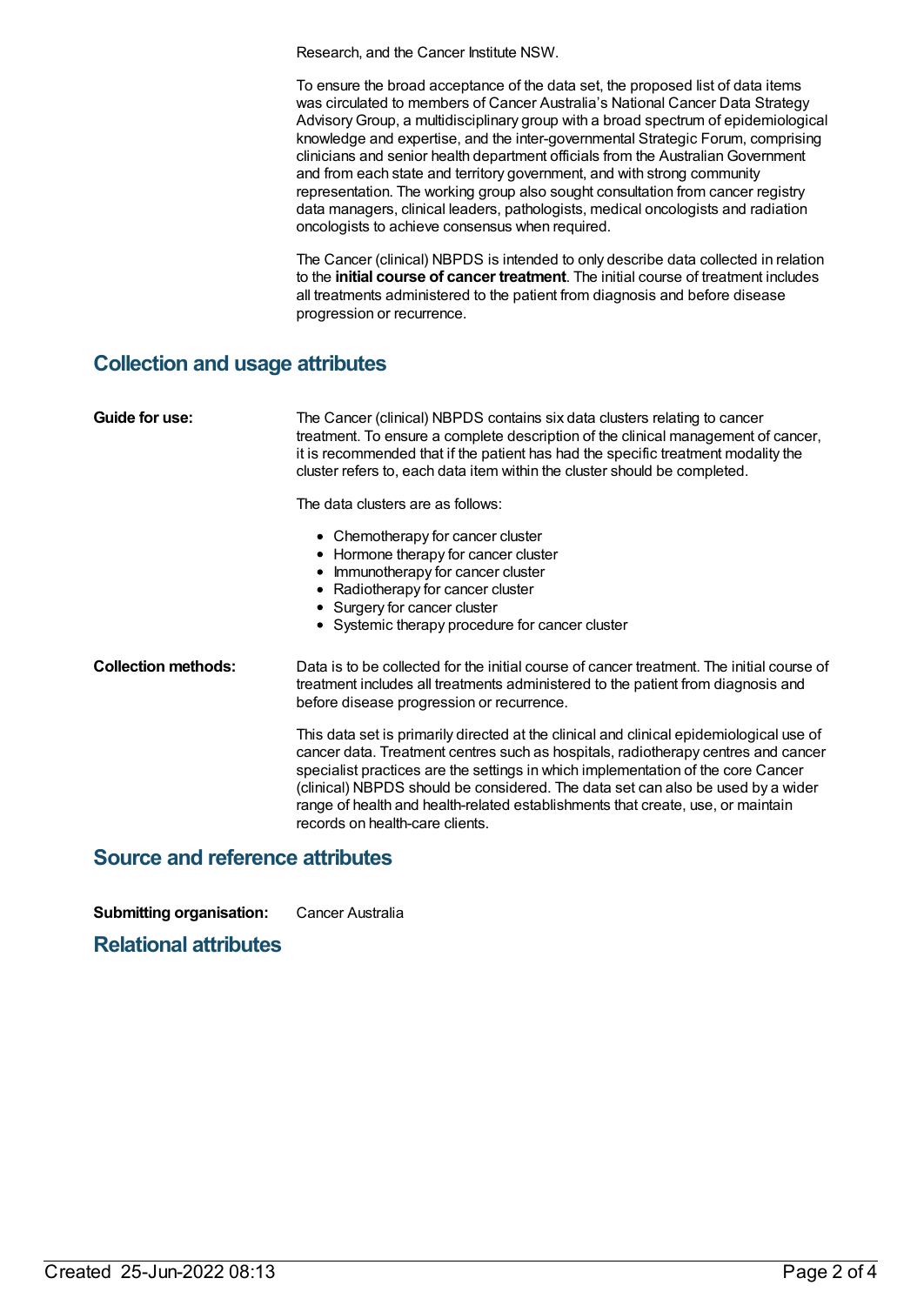Research, and the Cancer Institute NSW.

To ensure the broad acceptance of the data set, the proposed list of data items was circulated to members of Cancer Australia's National Cancer Data Strategy AdvisoryGroup, a multidisciplinary group with a broad spectrum of epidemiological knowledge and expertise, and the inter-governmental Strategic Forum, comprising clinicians and senior health department officials from the AustralianGovernment and from each state and territory government, and with strong community representation. The working group also sought consultation from cancer registry data managers, clinical leaders, pathologists, medical oncologists and radiation oncologists to achieve consensus when required.

The Cancer (clinical) NBPDS is intended to only describe data collected in relation to the **initial course of cancer treatment**. The initial course of treatment includes all treatments administered to the patient from diagnosis and before disease progression or recurrence.

### **Collection and usage attributes**

| Guide for use:             | The Cancer (clinical) NBPDS contains six data clusters relating to cancer<br>treatment. To ensure a complete description of the clinical management of cancer,<br>it is recommended that if the patient has had the specific treatment modality the<br>cluster refers to, each data item within the cluster should be completed.                                                                                                                                          |
|----------------------------|---------------------------------------------------------------------------------------------------------------------------------------------------------------------------------------------------------------------------------------------------------------------------------------------------------------------------------------------------------------------------------------------------------------------------------------------------------------------------|
|                            | The data clusters are as follows:                                                                                                                                                                                                                                                                                                                                                                                                                                         |
|                            | • Chemotherapy for cancer cluster<br>• Hormone therapy for cancer cluster<br>• Immunotherapy for cancer cluster<br>• Radiotherapy for cancer cluster<br>• Surgery for cancer cluster<br>• Systemic therapy procedure for cancer cluster                                                                                                                                                                                                                                   |
| <b>Collection methods:</b> | Data is to be collected for the initial course of cancer treatment. The initial course of<br>treatment includes all treatments administered to the patient from diagnosis and<br>before disease progression or recurrence.                                                                                                                                                                                                                                                |
|                            | This data set is primarily directed at the clinical and clinical epidemiological use of<br>cancer data. Treatment centres such as hospitals, radiotherapy centres and cancer<br>specialist practices are the settings in which implementation of the core Cancer<br>(clinical) NBPDS should be considered. The data set can also be used by a wider<br>range of health and health-related establishments that create, use, or maintain<br>records on health-care clients. |

#### **Source and reference attributes**

**Submitting organisation:** Cancer Australia

#### **Relational attributes**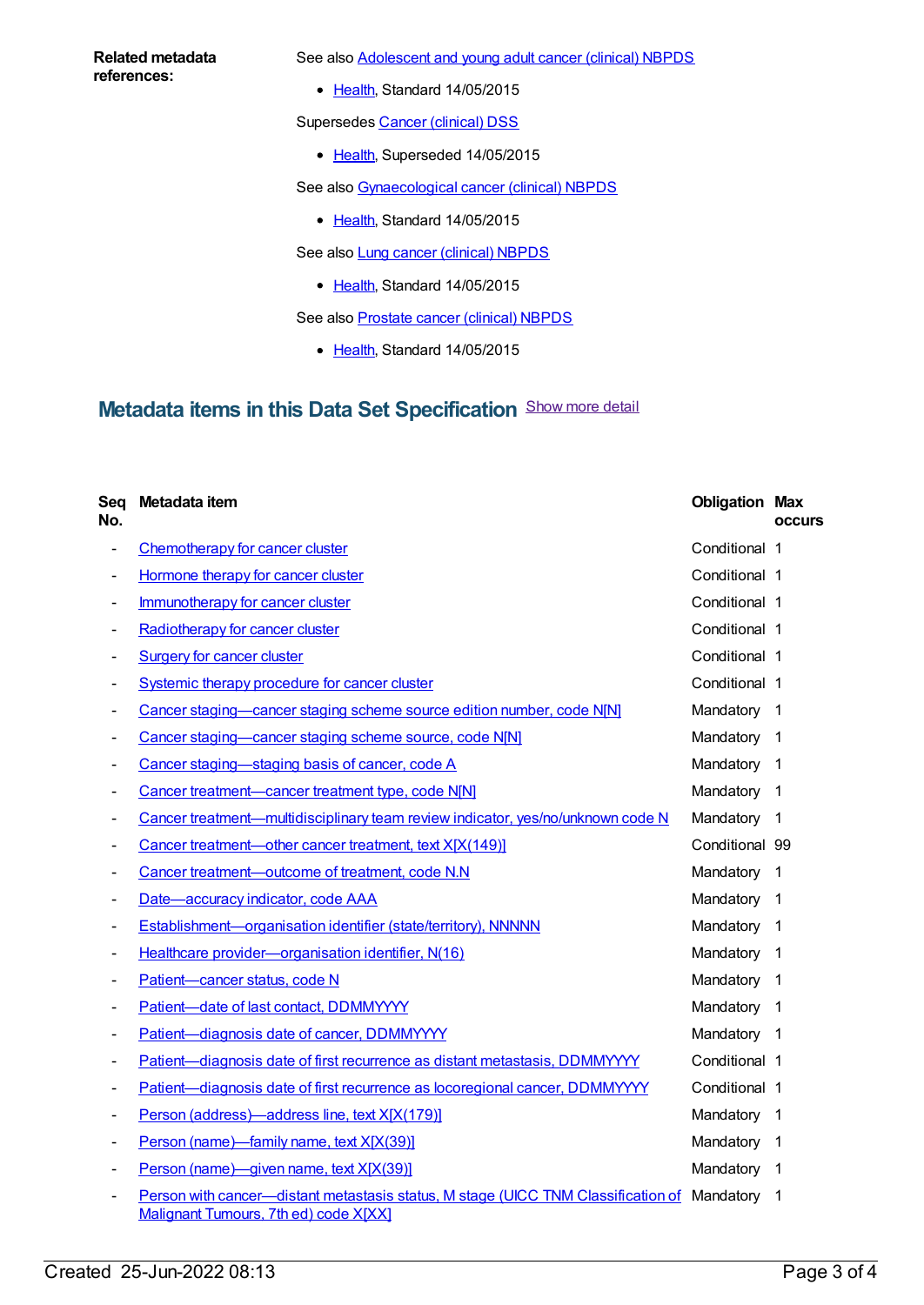#### **Related metadata references:**

See also **[Adolescent](https://meteor.aihw.gov.au/content/599629) and young adult cancer (clinical) NBPDS** 

• [Health](https://meteor.aihw.gov.au/RegistrationAuthority/12), Standard 14/05/2015

Supersedes Cancer [\(clinical\)](https://meteor.aihw.gov.au/content/560813) DSS

• [Health](https://meteor.aihw.gov.au/RegistrationAuthority/12), Superseded 14/05/2015

See also [Gynaecological](https://meteor.aihw.gov.au/content/599620) cancer (clinical) NBPDS

• [Health](https://meteor.aihw.gov.au/RegistrationAuthority/12), Standard 14/05/2015

See also **Lung cancer [\(clinical\)](https://meteor.aihw.gov.au/content/599613) NBPDS** 

• [Health](https://meteor.aihw.gov.au/RegistrationAuthority/12), Standard 14/05/2015

See also [Prostate](https://meteor.aihw.gov.au/content/481386) cancer (clinical) NBPDS

• [Health](https://meteor.aihw.gov.au/RegistrationAuthority/12), Standard 14/05/2015

## **Metadata items in this Data Set Specification** Show more detail

| Seq<br>No.                   | Metadata item                                                                                                                        | <b>Obligation Max</b> | <b>occurs</b>            |
|------------------------------|--------------------------------------------------------------------------------------------------------------------------------------|-----------------------|--------------------------|
| $\overline{\phantom{0}}$     | Chemotherapy for cancer cluster                                                                                                      | Conditional 1         |                          |
|                              | Hormone therapy for cancer cluster                                                                                                   | Conditional 1         |                          |
|                              | Immunotherapy for cancer cluster                                                                                                     | Conditional 1         |                          |
|                              | Radiotherapy for cancer cluster                                                                                                      | Conditional 1         |                          |
|                              | <b>Surgery for cancer cluster</b>                                                                                                    | Conditional 1         |                          |
|                              | Systemic therapy procedure for cancer cluster                                                                                        | Conditional 1         |                          |
|                              | Cancer staging-cancer staging scheme source edition number, code N[N]                                                                | Mandatory 1           |                          |
|                              | Cancer staging-cancer staging scheme source, code N[N]                                                                               | Mandatory             | -1                       |
|                              | Cancer staging-staging basis of cancer, code A                                                                                       | Mandatory             | $\overline{\mathbf{1}}$  |
|                              | Cancer treatment-cancer treatment type, code N[N]                                                                                    | Mandatory             | $\overline{1}$           |
|                              | Cancer treatment—multidisciplinary team review indicator, yes/no/unknown code N                                                      | Mandatory             | $\overline{\phantom{1}}$ |
|                              | Cancer treatment-other cancer treatment, text X[X(149)]                                                                              | Conditional 99        |                          |
|                              | Cancer treatment-outcome of treatment, code N.N.                                                                                     | Mandatory             | -1                       |
|                              | Date-accuracy indicator, code AAA                                                                                                    | Mandatory             | $\overline{1}$           |
|                              | Establishment-organisation identifier (state/territory), NNNNN                                                                       | Mandatory 1           |                          |
|                              | Healthcare provider-organisation identifier, N(16)                                                                                   | Mandatory             | -1                       |
|                              | Patient-cancer status, code N                                                                                                        | Mandatory             | -1                       |
|                              | Patient-date of last contact, DDMMYYYY                                                                                               | Mandatory             | $\overline{1}$           |
|                              | Patient-diagnosis date of cancer, DDMMYYYY                                                                                           | Mandatory             | - 1                      |
| $\qquad \qquad \blacksquare$ | Patient-diagnosis date of first recurrence as distant metastasis, DDMMYYYY                                                           | Conditional 1         |                          |
|                              | Patient-diagnosis date of first recurrence as locoregional cancer, DDMMYYYY                                                          | Conditional 1         |                          |
| $\qquad \qquad \blacksquare$ | Person (address)-address line, text X[X(179)]                                                                                        | Mandatory             | $\overline{1}$           |
|                              | Person (name)-family name, text X[X(39)]                                                                                             | Mandatory 1           |                          |
|                              | Person (name)—given name, text X[X(39)]                                                                                              | Mandatory             | $\overline{1}$           |
|                              | Person with cancer—distant metastasis status, M stage (UICC TNM Classification of Mandatory<br>Malignant Tumours, 7th ed) code X[XX] |                       | $\overline{\mathbf{1}}$  |